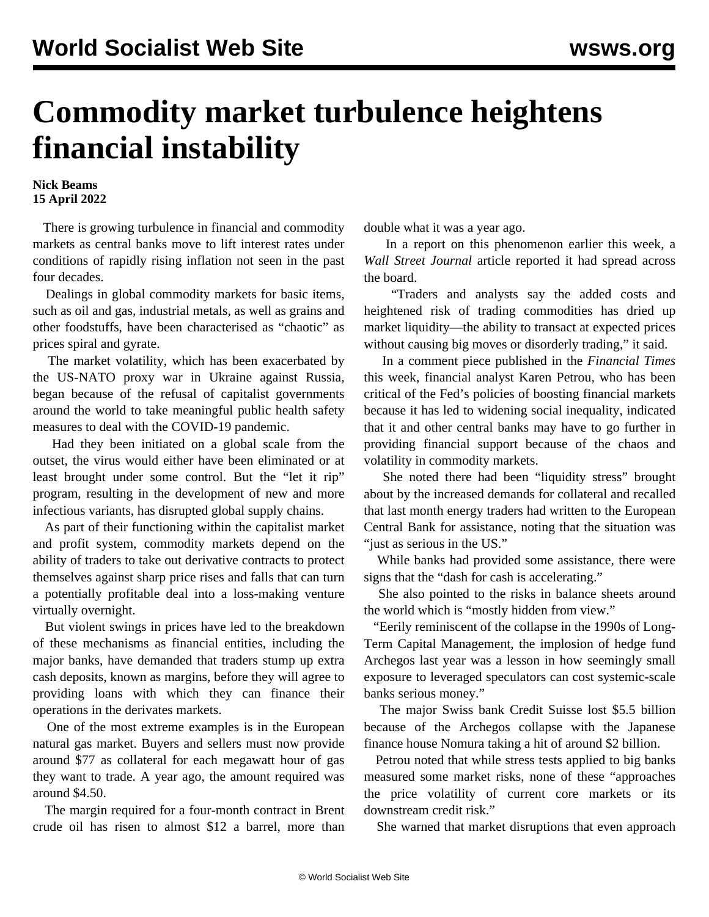## **Commodity market turbulence heightens financial instability**

**Nick Beams 15 April 2022**

 There is growing turbulence in financial and commodity markets as central banks move to lift interest rates under conditions of rapidly rising inflation not seen in the past four decades.

 Dealings in global commodity markets for basic items, such as oil and gas, industrial metals, as well as grains and other foodstuffs, have been characterised as "chaotic" as prices spiral and gyrate.

 The market volatility, which has been exacerbated by the US-NATO proxy war in Ukraine against Russia, began because of the refusal of capitalist governments around the world to take meaningful public health safety measures to deal with the COVID-19 pandemic.

 Had they been initiated on a global scale from the outset, the virus would either have been eliminated or at least brought under some control. But the "let it rip" program, resulting in the development of new and more infectious variants, has disrupted global supply chains.

 As part of their functioning within the capitalist market and profit system, commodity markets depend on the ability of traders to take out derivative contracts to protect themselves against sharp price rises and falls that can turn a potentially profitable deal into a loss-making venture virtually overnight.

 But violent swings in prices have led to the breakdown of these mechanisms as financial entities, including the major banks, have demanded that traders stump up extra cash deposits, known as margins, before they will agree to providing loans with which they can finance their operations in the derivates markets.

 One of the most extreme examples is in the European natural gas market. Buyers and sellers must now provide around \$77 as collateral for each megawatt hour of gas they want to trade. A year ago, the amount required was around \$4.50.

 The margin required for a four-month contract in Brent crude oil has risen to almost \$12 a barrel, more than double what it was a year ago.

 In a report on this phenomenon earlier this week, a *Wall Street Journal* article reported it had spread across the board.

 "Traders and analysts say the added costs and heightened risk of trading commodities has dried up market liquidity—the ability to transact at expected prices without causing big moves or disorderly trading," it said.

 In a comment piece published in the *Financial Times* this week, financial analyst Karen Petrou, who has been critical of the Fed's policies of boosting financial markets because it has led to widening social inequality, indicated that it and other central banks may have to go further in providing financial support because of the chaos and volatility in commodity markets.

 She noted there had been "liquidity stress" brought about by the increased demands for collateral and recalled that last month energy traders had written to the European Central Bank for assistance, noting that the situation was "just as serious in the US."

 While banks had provided some assistance, there were signs that the "dash for cash is accelerating."

 She also pointed to the risks in balance sheets around the world which is "mostly hidden from view."

 "Eerily reminiscent of the collapse in the 1990s of Long-Term Capital Management, the implosion of hedge fund Archegos last year was a lesson in how seemingly small exposure to leveraged speculators can cost systemic-scale banks serious money."

 The major Swiss bank Credit Suisse lost \$5.5 billion because of the Archegos collapse with the Japanese finance house Nomura taking a hit of around \$2 billion.

 Petrou noted that while stress tests applied to big banks measured some market risks, none of these "approaches the price volatility of current core markets or its downstream credit risk."

She warned that market disruptions that even approach